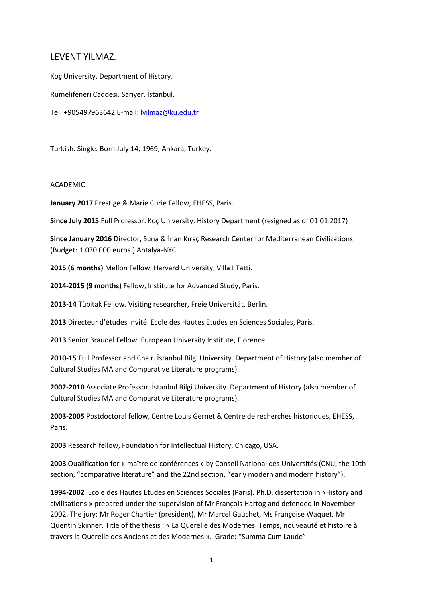# LEVENT YILMAZ.

Koç University. Department of History. Rumelifeneri Caddesi. Sarıyer. İstanbul. Tel: +905497963642 E-mail: [lyilmaz@ku.edu.tr](mailto:lyilmaz@ku.edu.tr)

Turkish. Single. Born July 14, 1969, Ankara, Turkey.

## ACADEMIC

**January 2017** Prestige & Marie Curie Fellow, EHESS, Paris.

**Since July 2015** Full Professor. Koç University. History Department (resigned as of 01.01.2017)

**Since January 2016** Director, Suna & İnan Kıraç Research Center for Mediterranean Civilizations (Budget: 1.070.000 euros.) Antalya-NYC.

**2015 (6 months)** Mellon Fellow, Harvard University, Villa I Tatti.

**2014-2015 (9 months)** Fellow, Institute for Advanced Study, Paris.

**2013-14** Tübitak Fellow. Visiting researcher, Freie Universität, Berlin.

**2013** Directeur d'études invité. Ecole des Hautes Etudes en Sciences Sociales, Paris.

**2013** Senior Braudel Fellow. European University Institute, Florence.

**2010-15** Full Professor and Chair. İstanbul Bilgi University. Department of History (also member of Cultural Studies MA and Comparative Literature programs).

**2002-2010** Associate Professor. İstanbul Bilgi University. Department of History (also member of Cultural Studies MA and Comparative Literature programs).

**2003-2005** Postdoctoral fellow, Centre Louis Gernet & Centre de recherches historiques, EHESS, Paris.

**2003** Research fellow, Foundation for Intellectual History, Chicago, USA.

**2003** Qualification for « maître de conférences » by Conseil National des Universités (CNU, the 10th section, "comparative literature" and the 22nd section, "early modern and modern history").

**1994-2002** Ecole des Hautes Etudes en Sciences Sociales (Paris). Ph.D. dissertation in «History and civilisations » prepared under the supervision of Mr François Hartog and defended in November 2002. The jury: Mr Roger Chartier (president), Mr Marcel Gauchet, Ms Françoise Waquet, Mr Quentin Skinner. Title of the thesis : « La Querelle des Modernes. Temps, nouveauté et histoire à travers la Querelle des Anciens et des Modernes ». Grade: "Summa Cum Laude".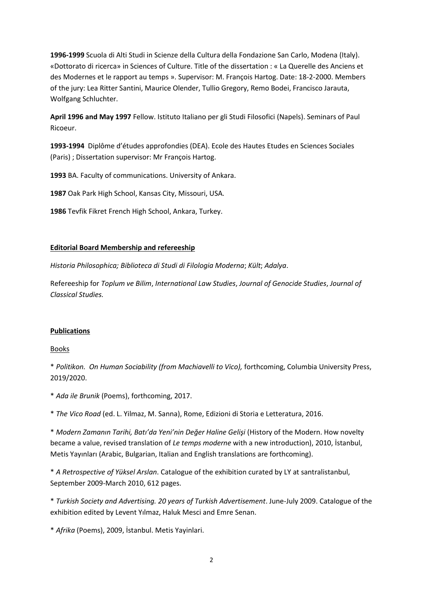**1996-1999** Scuola di Alti Studi in Scienze della Cultura della Fondazione San Carlo, Modena (Italy). «Dottorato di ricerca» in Sciences of Culture. Title of the dissertation : « La Querelle des Anciens et des Modernes et le rapport au temps ». Supervisor: M. François Hartog. Date: 18-2-2000. Members of the jury: Lea Ritter Santini, Maurice Olender, Tullio Gregory, Remo Bodei, Francisco Jarauta, Wolfgang Schluchter.

**April 1996 and May 1997** Fellow. Istituto Italiano per gli Studi Filosofici (Napels). Seminars of Paul Ricoeur.

**1993-1994** Diplôme d'études approfondies (DEA). Ecole des Hautes Etudes en Sciences Sociales (Paris) ; Dissertation supervisor: Mr François Hartog.

**1993** BA. Faculty of communications. University of Ankara.

**1987** Oak Park High School, Kansas City, Missouri, USA.

**1986** Tevfik Fikret French High School, Ankara, Turkey.

### **Editorial Board Membership and refereeship**

*Historia Philosophica; Biblioteca di Studi di Filologia Moderna*; *Kült*; *Adalya*.

Refereeship for *Toplum ve Bilim*, *International Law Studies*, *Journal of Genocide Studies*, *Journal of Classical Studies.*

### **Publications**

### Books

\* *Politikon. On Human Sociability (from Machiavelli to Vico),* forthcoming, Columbia University Press, 2019/2020.

\* *Ada ile Brunik* (Poems), forthcoming, 2017.

\* *The Vico Road* (ed. L. Yilmaz, M. Sanna), Rome, Edizioni di Storia e Letteratura, 2016.

\* *Modern Zamanın Tarihi, Batı'da Yeni'nin Değer Haline Gelişi* (History of the Modern. How novelty became a value, revised translation of *Le temps moderne* with a new introduction), 2010, İstanbul, Metis Yayınları (Arabic, Bulgarian, Italian and English translations are forthcoming).

\* *A Retrospective of Yüksel Arslan*. Catalogue of the exhibition curated by LY at santralistanbul, September 2009-March 2010, 612 pages.

\* *Turkish Society and Advertising. 20 years of Turkish Advertisement*. June-July 2009. Catalogue of the exhibition edited by Levent Yılmaz, Haluk Mesci and Emre Senan.

\* *Afrika* (Poems), 2009, İstanbul. Metis Yayinlari.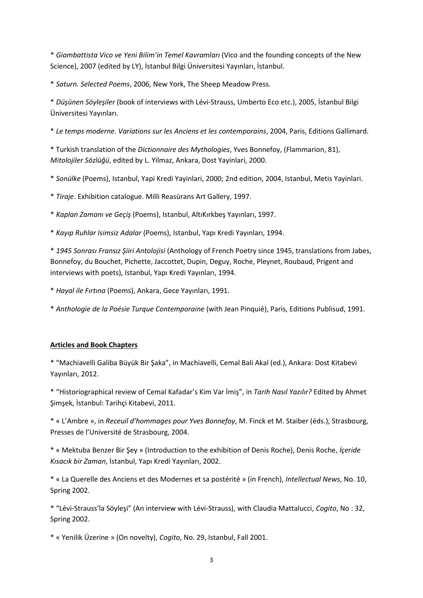\* *Giambattista Vico ve Yeni Bilim'in Temel Kavramları* (Vico and the founding concepts of the New Science), 2007 (edited by LY), İstanbul Bilgi Üniversitesi Yayınları, İstanbul.

\* *Saturn. Selected Poems*, 2006, New York, The Sheep Meadow Press.

\* *Düşünen Söyleşiler* (book of interviews with Lévi-Strauss, Umberto Eco etc.), 2005, İstanbul Bilgi Üniversitesi Yayınları.

\* *Le temps moderne. Variations sur les Anciens et les contemporains*, 2004, Paris, Editions Gallimard.

\* Turkish translation of the *Dictionnaire des Mythologies*, Yves Bonnefoy, (Flammarion, 81), *Mitolojiler Sözlüğü*, edited by L. Yilmaz, Ankara, Dost Yayinlari, 2000.

\* *Sonülke* (Poems), Istanbul, Yapi Kredi Yayinlari, 2000; 2nd edition, 2004, Istanbul, Metis Yayinlari.

\* *Tiraje*. Exhibition catalogue. Milli Reasürans Art Gallery, 1997.

\* *Kaplan Zamanı ve Geçiş* (Poems), Istanbul, AltıKırkbeş Yayınları, 1997.

\* *Kayıp Ruhlar Isimsiz Adalar* (Poems), Istanbul, Yapı Kredi Yayınları, 1994.

\* *1945 Sonrası Fransız Şiiri Antolojisi* (Anthology of French Poetry since 1945, translations from Jabes, Bonnefoy, du Bouchet, Pichette, Jaccottet, Dupin, Deguy, Roche, Pleynet, Roubaud, Prigent and interviews with poets), Istanbul, Yapı Kredi Yayınları, 1994.

\* *Hayal ile Fırtına* (Poems), Ankara, Gece Yayınları, 1991.

\* *Anthologie de la Poésie Turque Contemporaine* (with Jean Pinquié), Paris, Editions Publisud, 1991.

# **Articles and Book Chapters**

\* "Machiavelli Galiba Büyük Bir Şaka", in Machiavelli, Cemal Bali Akal (ed.), Ankara: Dost Kitabevi Yayınları, 2012.

\* "Historiographical review of Cemal Kafadar's Kim Var İmiş", in *Tarih Nasıl Yazılır?* Edited by Ahmet Şimşek, İstanbul: Tarihçi Kitabevi, 2011.

\* « L'Ambre », in *Receuil d'hommages pour Yves Bonnefoy*, M. Finck et M. Staiber (éds.), Strasbourg, Presses de l'Université de Strasbourg, 2004.

\* « Mektuba Benzer Bir Şey » (Introduction to the exhibition of Denis Roche), Denis Roche, *İçeride Kısacık bir Zaman*, İstanbul, Yapı Kredi Yayınları, 2002.

\* « La Querelle des Anciens et des Modernes et sa postérité » (in French), *Intellectual News*, No. 10, Spring 2002.

\* "Lévi-Strauss'la Söyleşi" (An interview with Lévi-Strauss), with Claudia Mattalucci, *Cogito*, No : 32, Spring 2002.

\* « Yenilik Üzerine » (On novelty), *Cogito*, No. 29, Istanbul, Fall 2001.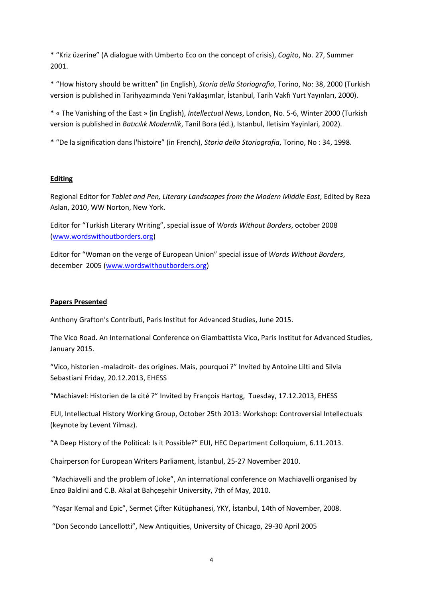\* "Kriz üzerine" (A dialogue with Umberto Eco on the concept of crisis), *Cogito*, No. 27, Summer 2001.

\* "How history should be written" (in English), *Storia della Storiografia*, Torino, No: 38, 2000 (Turkish version is published in Tarihyazımında Yeni Yaklaşımlar, İstanbul, Tarih Vakfı Yurt Yayınları, 2000).

\* « The Vanishing of the East » (in English), *Intellectual News*, London, No. 5-6, Winter 2000 (Turkish version is published in *Batıcılık Modernlik*, Tanil Bora (éd.), Istanbul, Iletisim Yayinlari, 2002).

\* "De la signification dans l'histoire" (in French), *Storia della Storiografia*, Torino, No : 34, 1998.

## **Editing**

Regional Editor for *Tablet and Pen, Literary Landscapes from the Modern Middle East*, Edited by Reza Aslan, 2010, WW Norton, New York.

Editor for "Turkish Literary Writing", special issue of *Words Without Borders*, october 2008 [\(www.wordswithoutborders.org\)](http://www.wordswithoutborders.org/)

Editor for "Woman on the verge of European Union" special issue of *Words Without Borders*, december 2005 [\(www.wordswithoutborders.org\)](http://www.wordswithoutborders.org/)

## **Papers Presented**

Anthony Grafton's Contributi, Paris Institut for Advanced Studies, June 2015.

The Vico Road. An International Conference on Giambattista Vico, Paris Institut for Advanced Studies, January 2015.

"Vico, historien -maladroit- des origines. Mais, pourquoi ?" Invited by Antoine Lilti and Silvia Sebastiani Friday, 20.12.2013, EHESS

"Machiavel: Historien de la cité ?" Invited by François Hartog, Tuesday, 17.12.2013, EHESS

EUI, Intellectual History Working Group, October 25th 2013: Workshop: Controversial Intellectuals (keynote by Levent Yilmaz).

"A Deep History of the Political: Is it Possible?" EUI, HEC Department Colloquium, 6.11.2013.

Chairperson for European Writers Parliament, İstanbul, 25-27 November 2010.

"Machiavelli and the problem of Joke", An international conference on Machiavelli organised by Enzo Baldini and C.B. Akal at Bahçeşehir University, 7th of May, 2010.

"Yaşar Kemal and Epic", Sermet Çifter Kütüphanesi, YKY, İstanbul, 14th of November, 2008.

"Don Secondo Lancellotti", New Antiquities, University of Chicago, 29-30 April 2005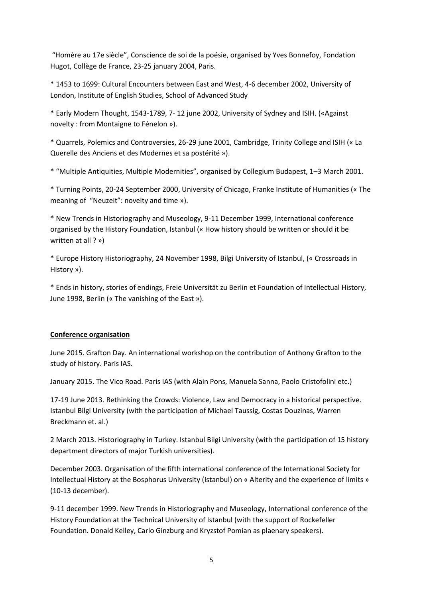"Homère au 17e siècle", Conscience de soi de la poésie, organised by Yves Bonnefoy, Fondation Hugot, Collège de France, 23-25 january 2004, Paris.

\* 1453 to 1699: Cultural Encounters between East and West, 4-6 december 2002, University of London, Institute of English Studies, School of Advanced Study

\* Early Modern Thought, 1543-1789, 7- 12 june 2002, University of Sydney and ISIH. («Against novelty : from Montaigne to Fénelon »).

\* Quarrels, Polemics and Controversies, 26-29 june 2001, Cambridge, Trinity College and ISIH (« La Querelle des Anciens et des Modernes et sa postérité »).

\* "Multiple Antiquities, Multiple Modernities", organised by Collegium Budapest, 1–3 March 2001.

\* Turning Points, 20-24 September 2000, University of Chicago, Franke Institute of Humanities (« The meaning of "Neuzeit": novelty and time »).

\* New Trends in Historiography and Museology, 9-11 December 1999, International conference organised by the History Foundation, Istanbul (« How history should be written or should it be written at all ? »)

\* Europe History Historiography, 24 November 1998, Bilgi University of Istanbul, (« Crossroads in History »).

\* Ends in history, stories of endings, Freie Universität zu Berlin et Foundation of Intellectual History, June 1998, Berlin (« The vanishing of the East »).

# **Conference organisation**

June 2015. Grafton Day. An international workshop on the contribution of Anthony Grafton to the study of history. Paris IAS.

January 2015. The Vico Road. Paris IAS (with Alain Pons, Manuela Sanna, Paolo Cristofolini etc.)

17-19 June 2013. Rethinking the Crowds: Violence, Law and Democracy in a historical perspective. Istanbul Bilgi University (with the participation of Michael Taussig, Costas Douzinas, Warren Breckmann et. al.)

2 March 2013. Historiography in Turkey. Istanbul Bilgi University (with the participation of 15 history department directors of major Turkish universities).

December 2003. Organisation of the fifth international conference of the International Society for Intellectual History at the Bosphorus University (Istanbul) on « Alterity and the experience of limits » (10-13 december).

9-11 december 1999. New Trends in Historiography and Museology, International conference of the History Foundation at the Technical University of Istanbul (with the support of Rockefeller Foundation. Donald Kelley, Carlo Ginzburg and Kryzstof Pomian as plaenary speakers).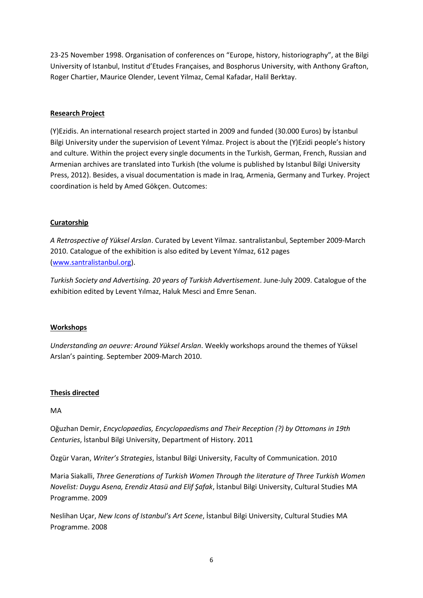23-25 November 1998. Organisation of conferences on "Europe, history, historiography", at the Bilgi University of Istanbul, Institut d'Etudes Françaises, and Bosphorus University, with Anthony Grafton, Roger Chartier, Maurice Olender, Levent Yilmaz, Cemal Kafadar, Halil Berktay.

# **Research Project**

(Y)Ezidis. An international research project started in 2009 and funded (30.000 Euros) by İstanbul Bilgi University under the supervision of Levent Yılmaz. Project is about the (Y)Ezidi people's history and culture. Within the project every single documents in the Turkish, German, French, Russian and Armenian archives are translated into Turkish (the volume is published by Istanbul Bilgi University Press, 2012). Besides, a visual documentation is made in Iraq, Armenia, Germany and Turkey. Project coordination is held by Amed Gökçen. Outcomes:

# **Curatorship**

*A Retrospective of Yüksel Arslan*. Curated by Levent Yilmaz. santralistanbul, September 2009-March 2010. Catalogue of the exhibition is also edited by Levent Yılmaz, 612 pages [\(www.santralistanbul.org\)](http://www.santralistanbul.org/).

*Turkish Society and Advertising. 20 years of Turkish Advertisement*. June-July 2009. Catalogue of the exhibition edited by Levent Yılmaz, Haluk Mesci and Emre Senan.

# **Workshops**

*Understanding an oeuvre: Around Yüksel Arslan*. Weekly workshops around the themes of Yüksel Arslan's painting. September 2009-March 2010.

# **Thesis directed**

MA

Oğuzhan Demir, *Encyclopaedias, Encyclopaedisms and Their Reception (?) by Ottomans in 19th Centuries*, İstanbul Bilgi University, Department of History. 2011

Özgür Varan, *Writer's Strategies*, İstanbul Bilgi University, Faculty of Communication. 2010

Maria Siakalli, *Three Generations of Turkish Women Through the literature of Three Turkish Women Novelist: Duygu Asena, Erendiz Atasü and Elif Şafak*, İstanbul Bilgi University, Cultural Studies MA Programme. 2009

Neslihan Uçar, *New Icons of Istanbul's Art Scene*, İstanbul Bilgi University, Cultural Studies MA Programme. 2008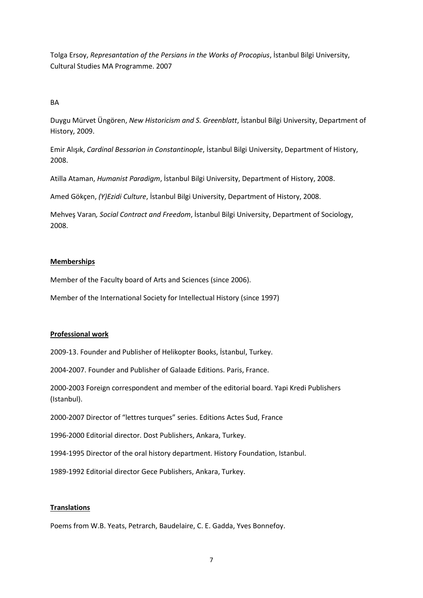Tolga Ersoy, *Represantation of the Persians in the Works of Procopius*, İstanbul Bilgi University, Cultural Studies MA Programme. 2007

# BA

Duygu Mürvet Üngören, *New Historicism and S. Greenblatt*, İstanbul Bilgi University, Department of History, 2009.

Emir Alışık, *Cardinal Bessarion in Constantinople*, İstanbul Bilgi University, Department of History, 2008.

Atilla Ataman, *Humanist Paradigm*, İstanbul Bilgi University, Department of History, 2008.

Amed Gökçen, *(Y)Ezidi Culture*, İstanbul Bilgi University, Department of History, 2008.

Mehveş Varan*, Social Contract and Freedom*, İstanbul Bilgi University, Department of Sociology, 2008.

## **Memberships**

Member of the Faculty board of Arts and Sciences (since 2006).

Member of the International Society for Intellectual History (since 1997)

### **Professional work**

2009-13. Founder and Publisher of Helikopter Books, İstanbul, Turkey.

2004-2007. Founder and Publisher of Galaade Editions. Paris, France.

2000-2003 Foreign correspondent and member of the editorial board. Yapi Kredi Publishers (Istanbul).

2000-2007 Director of "lettres turques" series. Editions Actes Sud, France

1996-2000 Editorial director. Dost Publishers, Ankara, Turkey.

1994-1995 Director of the oral history department. History Foundation, Istanbul.

1989-1992 Editorial director Gece Publishers, Ankara, Turkey.

# **Translations**

Poems from W.B. Yeats, Petrarch, Baudelaire, C. E. Gadda, Yves Bonnefoy.